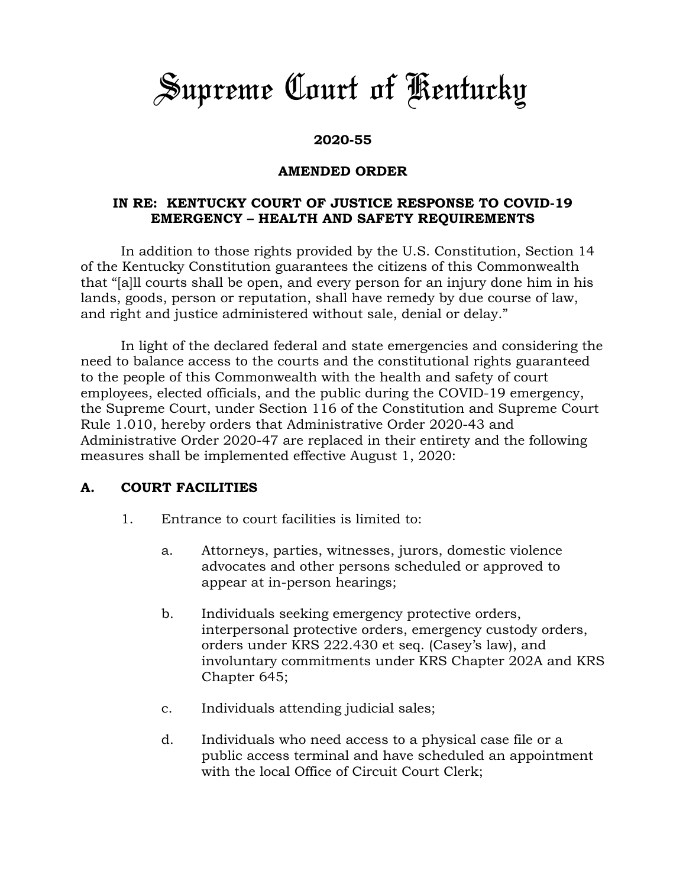# *Supreme Court of Kentucky*

## **2020-55**

### **AMENDED ORDER**

#### **IN RE: KENTUCKY COURT OF JUSTICE RESPONSE TO COVID-19 EMERGENCY – HEALTH AND SAFETY REQUIREMENTS**

In addition to those rights provided by the U.S. Constitution, Section 14 of the Kentucky Constitution guarantees the citizens of this Commonwealth that "[a]ll courts shall be open, and every person for an injury done him in his lands, goods, person or reputation, shall have remedy by due course of law, and right and justice administered without sale, denial or delay."

In light of the declared federal and state emergencies and considering the need to balance access to the courts and the constitutional rights guaranteed to the people of this Commonwealth with the health and safety of court employees, elected officials, and the public during the COVID-19 emergency, the Supreme Court, under Section 116 of the Constitution and Supreme Court Rule 1.010, hereby orders that Administrative Order 2020-43 and Administrative Order 2020-47 are replaced in their entirety and the following measures shall be implemented effective August 1, 2020:

#### **A. COURT FACILITIES**

- 1. Entrance to court facilities is limited to:
	- a. Attorneys, parties, witnesses, jurors, domestic violence advocates and other persons scheduled or approved to appear at in-person hearings;
	- b. Individuals seeking emergency protective orders, interpersonal protective orders, emergency custody orders, orders under KRS 222.430 et seq. (Casey's law), and involuntary commitments under KRS Chapter 202A and KRS Chapter 645;
	- c. Individuals attending judicial sales;
	- d. Individuals who need access to a physical case file or a public access terminal and have scheduled an appointment with the local Office of Circuit Court Clerk;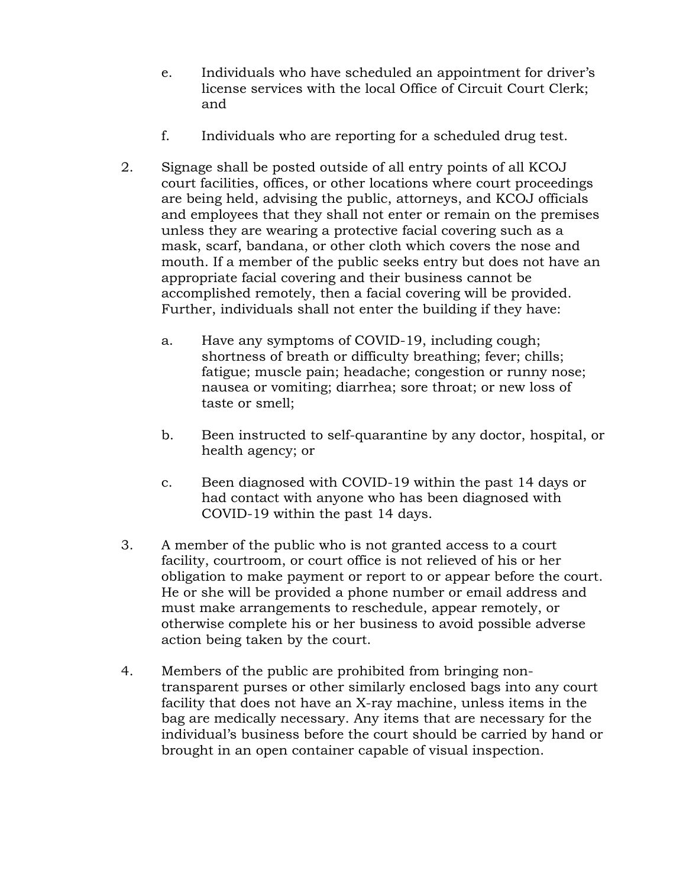- e. Individuals who have scheduled an appointment for driver's license services with the local Office of Circuit Court Clerk; and
- f. Individuals who are reporting for a scheduled drug test.
- 2. Signage shall be posted outside of all entry points of all KCOJ court facilities, offices, or other locations where court proceedings are being held, advising the public, attorneys, and KCOJ officials and employees that they shall not enter or remain on the premises unless they are wearing a protective facial covering such as a mask, scarf, bandana, or other cloth which covers the nose and mouth. If a member of the public seeks entry but does not have an appropriate facial covering and their business cannot be accomplished remotely, then a facial covering will be provided. Further, individuals shall not enter the building if they have:
	- a. Have any symptoms of COVID-19, including cough; shortness of breath or difficulty breathing; fever; chills; fatigue; muscle pain; headache; congestion or runny nose; nausea or vomiting; diarrhea; sore throat; or new loss of taste or smell;
	- b. Been instructed to self-quarantine by any doctor, hospital, or health agency; or
	- c. Been diagnosed with COVID-19 within the past 14 days or had contact with anyone who has been diagnosed with COVID-19 within the past 14 days.
- 3. A member of the public who is not granted access to a court facility, courtroom, or court office is not relieved of his or her obligation to make payment or report to or appear before the court. He or she will be provided a phone number or email address and must make arrangements to reschedule, appear remotely, or otherwise complete his or her business to avoid possible adverse action being taken by the court.
- 4. Members of the public are prohibited from bringing nontransparent purses or other similarly enclosed bags into any court facility that does not have an X-ray machine, unless items in the bag are medically necessary. Any items that are necessary for the individual's business before the court should be carried by hand or brought in an open container capable of visual inspection.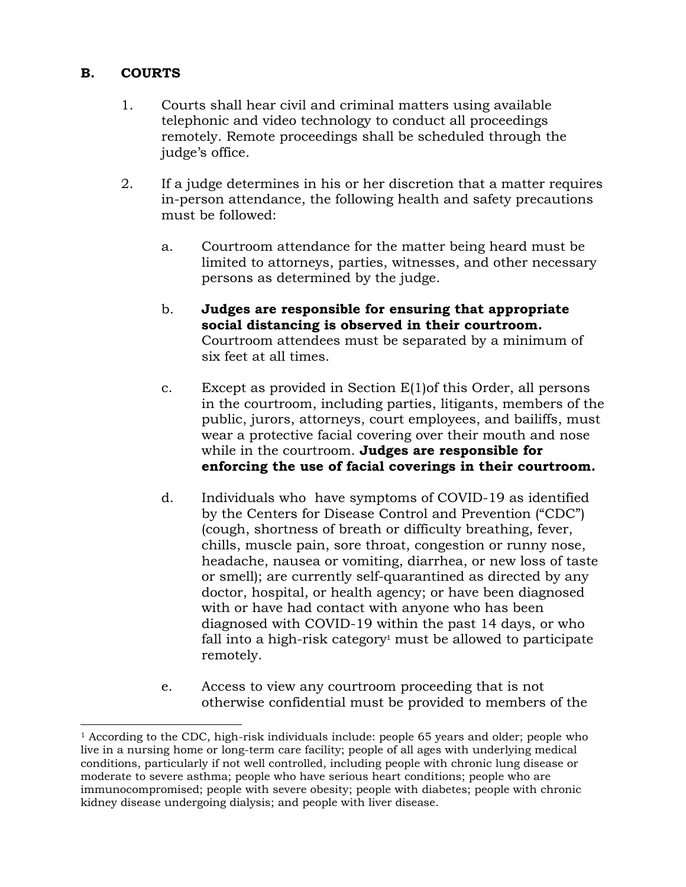#### **B. COURTS**

 $\overline{a}$ 

- 1. Courts shall hear civil and criminal matters using available telephonic and video technology to conduct all proceedings remotely. Remote proceedings shall be scheduled through the judge's office.
- 2. If a judge determines in his or her discretion that a matter requires in-person attendance, the following health and safety precautions must be followed:
	- a. Courtroom attendance for the matter being heard must be limited to attorneys, parties, witnesses, and other necessary persons as determined by the judge.
	- b. **Judges are responsible for ensuring that appropriate social distancing is observed in their courtroom.** Courtroom attendees must be separated by a minimum of six feet at all times.
	- c. Except as provided in Section E(1)of this Order, all persons in the courtroom, including parties, litigants, members of the public, jurors, attorneys, court employees, and bailiffs, must wear a protective facial covering over their mouth and nose while in the courtroom. **Judges are responsible for enforcing the use of facial coverings in their courtroom.**
	- d. Individuals who have symptoms of COVID-19 as identified by the Centers for Disease Control and Prevention ("CDC") (cough, shortness of breath or difficulty breathing, fever, chills, muscle pain, sore throat, congestion or runny nose, headache, nausea or vomiting, diarrhea, or new loss of taste or smell); are currently self-quarantined as directed by any doctor, hospital, or health agency; or have been diagnosed with or have had contact with anyone who has been diagnosed with COVID-19 within the past 14 days, or who fall into a high-risk category<sup>1</sup> must be allowed to participate remotely.
	- e. Access to view any courtroom proceeding that is not otherwise confidential must be provided to members of the

 $<sup>1</sup>$  According to the CDC, high-risk individuals include: people 65 years and older; people who</sup> live in a nursing home or long-term care facility; people of all ages with underlying medical conditions, particularly if not well controlled, including people with chronic lung disease or moderate to severe asthma; people who have serious heart conditions; people who are immunocompromised; people with severe obesity; people with diabetes; people with chronic kidney disease undergoing dialysis; and people with liver disease.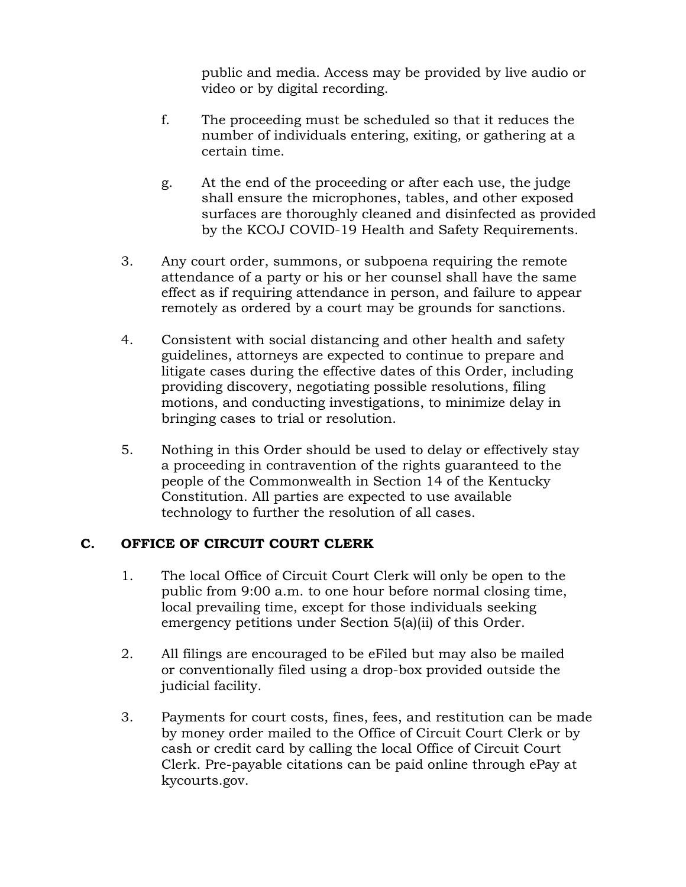public and media. Access may be provided by live audio or video or by digital recording.

- f. The proceeding must be scheduled so that it reduces the number of individuals entering, exiting, or gathering at a certain time.
- g. At the end of the proceeding or after each use, the judge shall ensure the microphones, tables, and other exposed surfaces are thoroughly cleaned and disinfected as provided by the KCOJ COVID-19 Health and Safety Requirements.
- 3. Any court order, summons, or subpoena requiring the remote attendance of a party or his or her counsel shall have the same effect as if requiring attendance in person, and failure to appear remotely as ordered by a court may be grounds for sanctions.
- 4. Consistent with social distancing and other health and safety guidelines, attorneys are expected to continue to prepare and litigate cases during the effective dates of this Order, including providing discovery, negotiating possible resolutions, filing motions, and conducting investigations, to minimize delay in bringing cases to trial or resolution.
- 5. Nothing in this Order should be used to delay or effectively stay a proceeding in contravention of the rights guaranteed to the people of the Commonwealth in Section 14 of the Kentucky Constitution. All parties are expected to use available technology to further the resolution of all cases.

## **C. OFFICE OF CIRCUIT COURT CLERK**

- 1. The local Office of Circuit Court Clerk will only be open to the public from 9:00 a.m. to one hour before normal closing time, local prevailing time, except for those individuals seeking emergency petitions under Section 5(a)(ii) of this Order.
- 2. All filings are encouraged to be eFiled but may also be mailed or conventionally filed using a drop-box provided outside the judicial facility.
- 3. Payments for court costs, fines, fees, and restitution can be made by money order mailed to the Office of Circuit Court Clerk or by cash or credit card by calling the local Office of Circuit Court Clerk. Pre-payable citations can be paid online through ePay at kycourts.gov.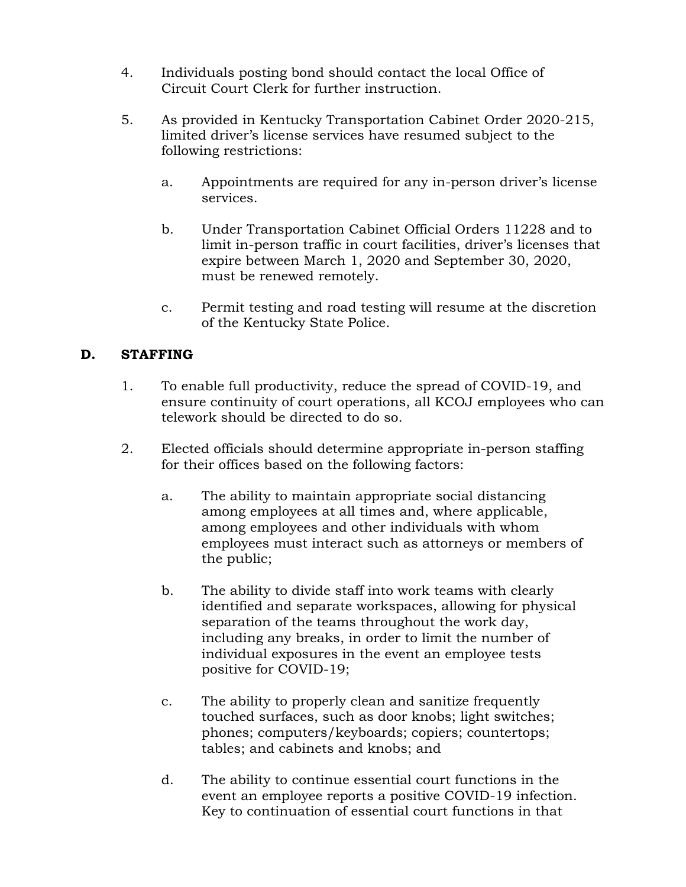- 4. Individuals posting bond should contact the local Office of Circuit Court Clerk for further instruction.
- 5. As provided in Kentucky Transportation Cabinet Order 2020-215, limited driver's license services have resumed subject to the following restrictions:
	- a. Appointments are required for any in-person driver's license services.
	- b. Under Transportation Cabinet Official Orders 11228 and to limit in-person traffic in court facilities, driver's licenses that expire between March 1, 2020 and September 30, 2020, must be renewed remotely.
	- c. Permit testing and road testing will resume at the discretion of the Kentucky State Police.

# **D. STAFFING**

- 1. To enable full productivity, reduce the spread of COVID-19, and ensure continuity of court operations, all KCOJ employees who can telework should be directed to do so.
- 2. Elected officials should determine appropriate in-person staffing for their offices based on the following factors:
	- a. The ability to maintain appropriate social distancing among employees at all times and, where applicable, among employees and other individuals with whom employees must interact such as attorneys or members of the public;
	- b. The ability to divide staff into work teams with clearly identified and separate workspaces, allowing for physical separation of the teams throughout the work day, including any breaks, in order to limit the number of individual exposures in the event an employee tests positive for COVID-19;
	- c. The ability to properly clean and sanitize frequently touched surfaces, such as door knobs; light switches; phones; computers/keyboards; copiers; countertops; tables; and cabinets and knobs; and
	- d. The ability to continue essential court functions in the event an employee reports a positive COVID-19 infection. Key to continuation of essential court functions in that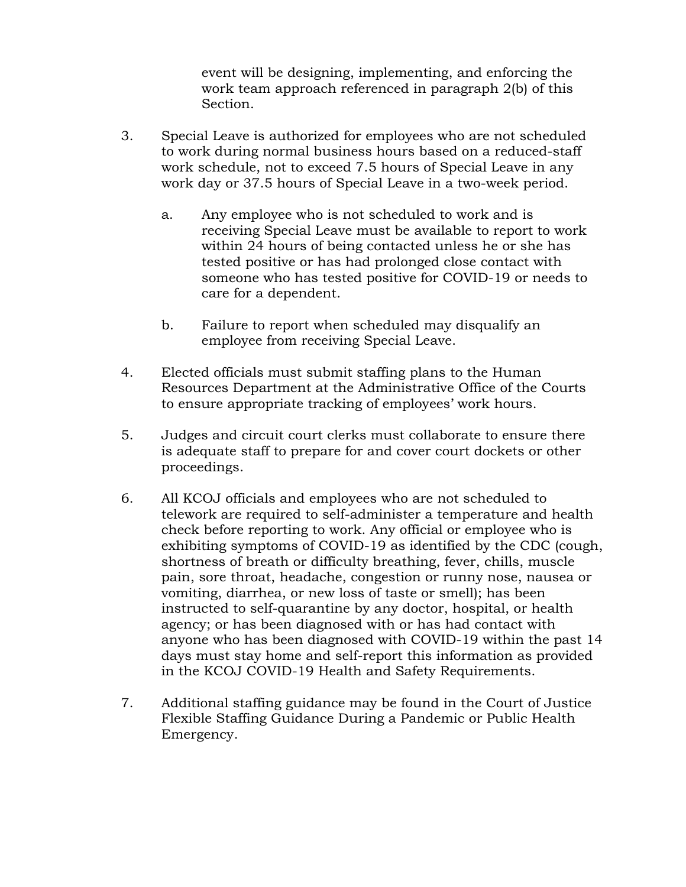event will be designing, implementing, and enforcing the work team approach referenced in paragraph 2(b) of this Section.

- 3. Special Leave is authorized for employees who are not scheduled to work during normal business hours based on a reduced-staff work schedule, not to exceed 7.5 hours of Special Leave in any work day or 37.5 hours of Special Leave in a two-week period.
	- a. Any employee who is not scheduled to work and is receiving Special Leave must be available to report to work within 24 hours of being contacted unless he or she has tested positive or has had prolonged close contact with someone who has tested positive for COVID-19 or needs to care for a dependent.
	- b. Failure to report when scheduled may disqualify an employee from receiving Special Leave.
- 4. Elected officials must submit staffing plans to the Human Resources Department at the Administrative Office of the Courts to ensure appropriate tracking of employees' work hours.
- 5. Judges and circuit court clerks must collaborate to ensure there is adequate staff to prepare for and cover court dockets or other proceedings.
- 6. All KCOJ officials and employees who are not scheduled to telework are required to self-administer a temperature and health check before reporting to work. Any official or employee who is exhibiting symptoms of COVID-19 as identified by the CDC (cough, shortness of breath or difficulty breathing, fever, chills, muscle pain, sore throat, headache, congestion or runny nose, nausea or vomiting, diarrhea, or new loss of taste or smell); has been instructed to self-quarantine by any doctor, hospital, or health agency; or has been diagnosed with or has had contact with anyone who has been diagnosed with COVID-19 within the past 14 days must stay home and self-report this information as provided in the KCOJ COVID-19 Health and Safety Requirements.
- 7. Additional staffing guidance may be found in the Court of Justice Flexible Staffing Guidance During a Pandemic or Public Health Emergency.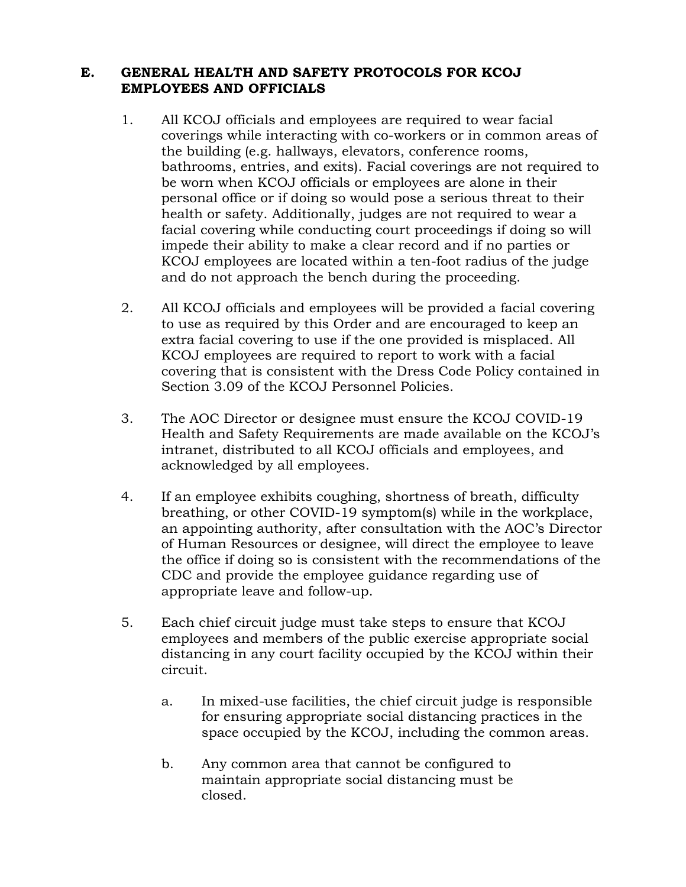#### **E. GENERAL HEALTH AND SAFETY PROTOCOLS FOR KCOJ EMPLOYEES AND OFFICIALS**

- 1. All KCOJ officials and employees are required to wear facial coverings while interacting with co-workers or in common areas of the building (e.g. hallways, elevators, conference rooms, bathrooms, entries, and exits). Facial coverings are not required to be worn when KCOJ officials or employees are alone in their personal office or if doing so would pose a serious threat to their health or safety. Additionally, judges are not required to wear a facial covering while conducting court proceedings if doing so will impede their ability to make a clear record and if no parties or KCOJ employees are located within a ten-foot radius of the judge and do not approach the bench during the proceeding.
- 2. All KCOJ officials and employees will be provided a facial covering to use as required by this Order and are encouraged to keep an extra facial covering to use if the one provided is misplaced. All KCOJ employees are required to report to work with a facial covering that is consistent with the Dress Code Policy contained in Section 3.09 of the KCOJ Personnel Policies.
- 3. The AOC Director or designee must ensure the KCOJ COVID-19 Health and Safety Requirements are made available on the KCOJ's intranet, distributed to all KCOJ officials and employees, and acknowledged by all employees.
- 4. If an employee exhibits coughing, shortness of breath, difficulty breathing, or other COVID-19 symptom(s) while in the workplace, an appointing authority, after consultation with the AOC's Director of Human Resources or designee, will direct the employee to leave the office if doing so is consistent with the recommendations of the CDC and provide the employee guidance regarding use of appropriate leave and follow-up.
- 5. Each chief circuit judge must take steps to ensure that KCOJ employees and members of the public exercise appropriate social distancing in any court facility occupied by the KCOJ within their circuit.
	- a. In mixed-use facilities, the chief circuit judge is responsible for ensuring appropriate social distancing practices in the space occupied by the KCOJ, including the common areas.
	- b. Any common area that cannot be configured to maintain appropriate social distancing must be closed.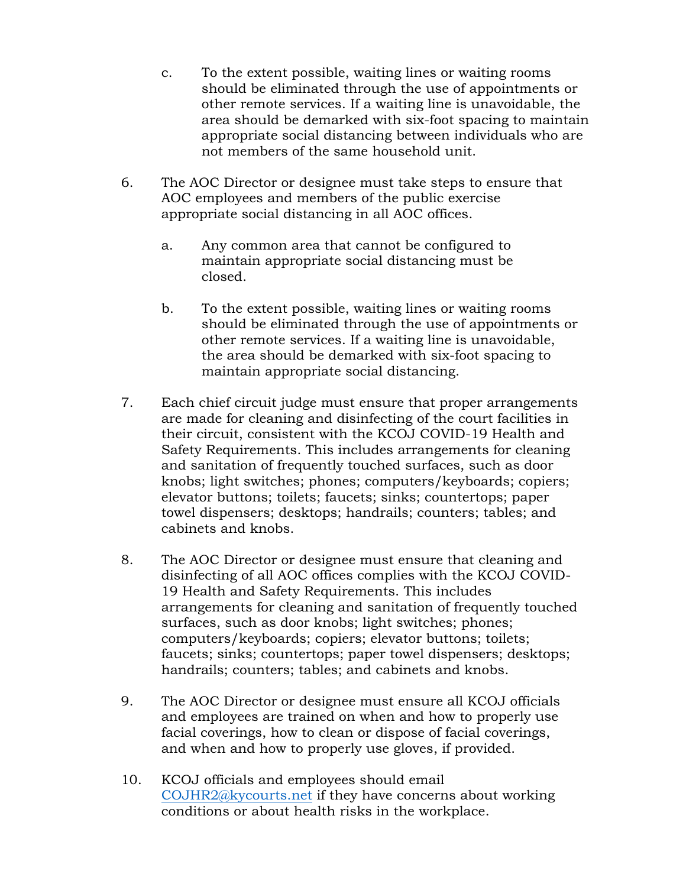- c. To the extent possible, waiting lines or waiting rooms should be eliminated through the use of appointments or other remote services. If a waiting line is unavoidable, the area should be demarked with six-foot spacing to maintain appropriate social distancing between individuals who are not members of the same household unit.
- 6. The AOC Director or designee must take steps to ensure that AOC employees and members of the public exercise appropriate social distancing in all AOC offices.
	- a. Any common area that cannot be configured to maintain appropriate social distancing must be closed.
	- b. To the extent possible, waiting lines or waiting rooms should be eliminated through the use of appointments or other remote services. If a waiting line is unavoidable, the area should be demarked with six-foot spacing to maintain appropriate social distancing.
- 7. Each chief circuit judge must ensure that proper arrangements are made for cleaning and disinfecting of the court facilities in their circuit, consistent with the KCOJ COVID-19 Health and Safety Requirements. This includes arrangements for cleaning and sanitation of frequently touched surfaces, such as door knobs; light switches; phones; computers/keyboards; copiers; elevator buttons; toilets; faucets; sinks; countertops; paper towel dispensers; desktops; handrails; counters; tables; and cabinets and knobs.
- 8. The AOC Director or designee must ensure that cleaning and disinfecting of all AOC offices complies with the KCOJ COVID-19 Health and Safety Requirements. This includes arrangements for cleaning and sanitation of frequently touched surfaces, such as door knobs; light switches; phones; computers/keyboards; copiers; elevator buttons; toilets; faucets; sinks; countertops; paper towel dispensers; desktops; handrails; counters; tables; and cabinets and knobs.
- 9. The AOC Director or designee must ensure all KCOJ officials and employees are trained on when and how to properly use facial coverings, how to clean or dispose of facial coverings, and when and how to properly use gloves, if provided.
- 10. KCOJ officials and employees should email [COJHR2@kycourts.net](mailto:COJHR2@kycourts.net) if they have concerns about working conditions or about health risks in the workplace.